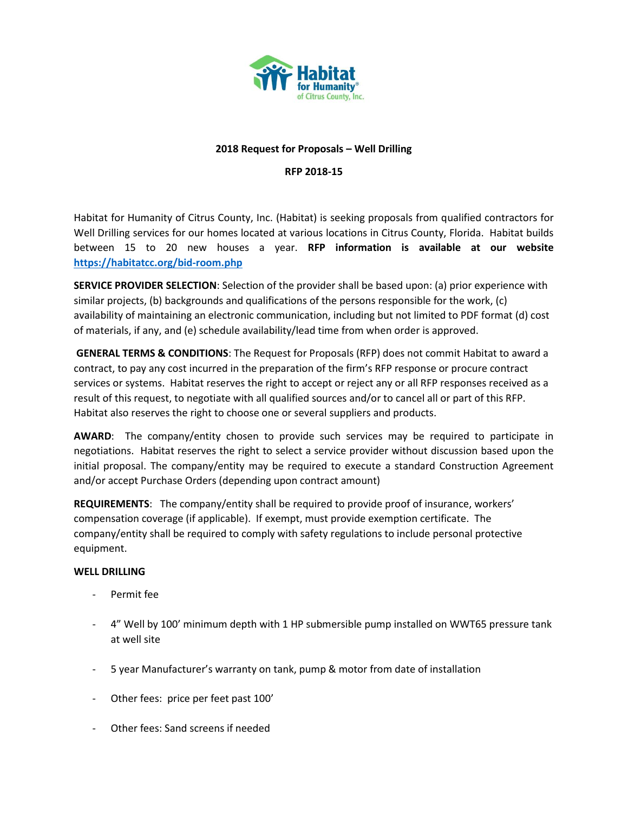

# **2018 Request for Proposals – Well Drilling**

### **RFP 2018-15**

Habitat for Humanity of Citrus County, Inc. (Habitat) is seeking proposals from qualified contractors for Well Drilling services for our homes located at various locations in Citrus County, Florida. Habitat builds between 15 to 20 new houses a year. **RFP information is available at our website <https://habitatcc.org/bid-room.php>**

**SERVICE PROVIDER SELECTION**: Selection of the provider shall be based upon: (a) prior experience with similar projects, (b) backgrounds and qualifications of the persons responsible for the work, (c) availability of maintaining an electronic communication, including but not limited to PDF format (d) cost of materials, if any, and (e) schedule availability/lead time from when order is approved.

**GENERAL TERMS & CONDITIONS**: The Request for Proposals (RFP) does not commit Habitat to award a contract, to pay any cost incurred in the preparation of the firm's RFP response or procure contract services or systems. Habitat reserves the right to accept or reject any or all RFP responses received as a result of this request, to negotiate with all qualified sources and/or to cancel all or part of this RFP. Habitat also reserves the right to choose one or several suppliers and products.

**AWARD**: The company/entity chosen to provide such services may be required to participate in negotiations. Habitat reserves the right to select a service provider without discussion based upon the initial proposal. The company/entity may be required to execute a standard Construction Agreement and/or accept Purchase Orders (depending upon contract amount)

**REQUIREMENTS**: The company/entity shall be required to provide proof of insurance, workers' compensation coverage (if applicable). If exempt, must provide exemption certificate. The company/entity shall be required to comply with safety regulations to include personal protective equipment.

#### **WELL DRILLING**

- Permit fee
- 4" Well by 100' minimum depth with 1 HP submersible pump installed on WWT65 pressure tank at well site
- 5 year Manufacturer's warranty on tank, pump & motor from date of installation
- Other fees: price per feet past 100'
- Other fees: Sand screens if needed